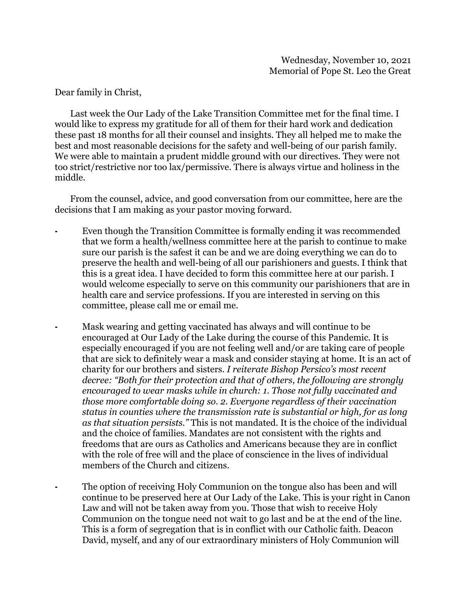Dear family in Christ,

 Last week the Our Lady of the Lake Transition Committee met for the final time. I would like to express my gratitude for all of them for their hard work and dedication these past 18 months for all their counsel and insights. They all helped me to make the best and most reasonable decisions for the safety and well-being of our parish family. We were able to maintain a prudent middle ground with our directives. They were not too strict/restrictive nor too lax/permissive. There is always virtue and holiness in the middle.

 From the counsel, advice, and good conversation from our committee, here are the decisions that I am making as your pastor moving forward.

- ⁃ Even though the Transition Committee is formally ending it was recommended that we form a health/wellness committee here at the parish to continue to make sure our parish is the safest it can be and we are doing everything we can do to preserve the health and well-being of all our parishioners and guests. I think that this is a great idea. I have decided to form this committee here at our parish. I would welcome especially to serve on this community our parishioners that are in health care and service professions. If you are interested in serving on this committee, please call me or email me.
	- Mask wearing and getting vaccinated has always and will continue to be encouraged at Our Lady of the Lake during the course of this Pandemic. It is especially encouraged if you are not feeling well and/or are taking care of people that are sick to definitely wear a mask and consider staying at home. It is an act of charity for our brothers and sisters. *I reiterate Bishop Persico's most recent decree: "Both for their protection and that of others, the following are strongly encouraged to wear masks while in church: 1. Those not fully vaccinated and those more comfortable doing so. 2. Everyone regardless of their vaccination status in counties where the transmission rate is substantial or high, for as long as that situation persists."* This is not mandated. It is the choice of the individual and the choice of families. Mandates are not consistent with the rights and freedoms that are ours as Catholics and Americans because they are in conflict with the role of free will and the place of conscience in the lives of individual members of the Church and citizens.
	- The option of receiving Holy Communion on the tongue also has been and will continue to be preserved here at Our Lady of the Lake. This is your right in Canon Law and will not be taken away from you. Those that wish to receive Holy Communion on the tongue need not wait to go last and be at the end of the line. This is a form of segregation that is in conflict with our Catholic faith. Deacon David, myself, and any of our extraordinary ministers of Holy Communion will